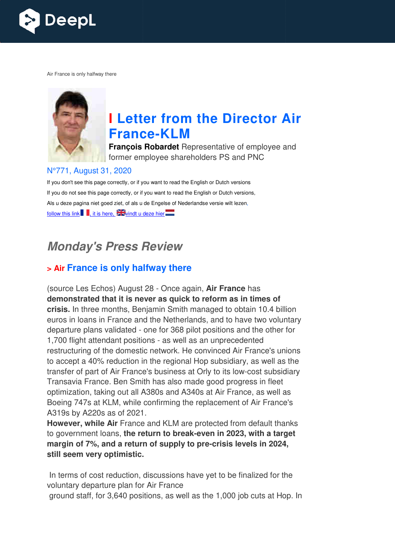

Air France is only halfway there



# **I Letter from the Director Air France France-KLM**

**François Robardet** Representative of employee and former employee shareholders PS and PNC

#### N°771, August 31, 2020

If you don't see this page correctly, or if you want to read the English or Dutch versions If you do not see this page correctly, or if you want to read the English or Dutch versions, Als u deze pagina niet goed ziet, of als u de Engelse of Nederlandse versie wilt lezen, follow this link , it is here,  $\frac{1}{2}$  windt u deze hier

# **Monday's Press Review**

## **> Air France is only halfway there**

(source Les Echos) August 28 - Once again, **Air France** has **demonstrated that it is never as quick to reform as in times of crisis.** In three months, Benjamin Smith managed to obtain 10.4 billion euros in loans in France and the Netherlands, and to have two voluntary departure plans validated - one for 368 pilot positions and the other for 1,700 flight attendant positions - as well as an unprecedented restructuring of the domestic network. He convinced Air France's unions to accept a 40% reduction in the regional Hop subsidiary, as well as the transfer of part of Air France's business at Orly to its low-cost subsidiary Transavia France. Ben Smith has also made good progress in fleet optimization, taking out all A380s and A340s at Air France, as well as Boeing 747s at KLM, while confirming the replacement of Air France's A319s by A220s as of 2021. orly to its low-cost<br>e good progress ir<br>s at Air France, as<br>placement of Air l<br>otected from defa

However, while Air France and KLM are protected from default thanks to government loans, **the return to break break-even in 2023, with a target**  to government loans, **the return to break-even in 2023, with a targe<br><b>margin of 7%, and a return of supply to pre-crisis levels in 2024, still seem very optimistic.**

In terms of cost reduction, discussions have yet to be finalized for the voluntary departure plan for Air France

ground staff, for 3,640 positions, as well as the 1,000 job cuts at Hop. In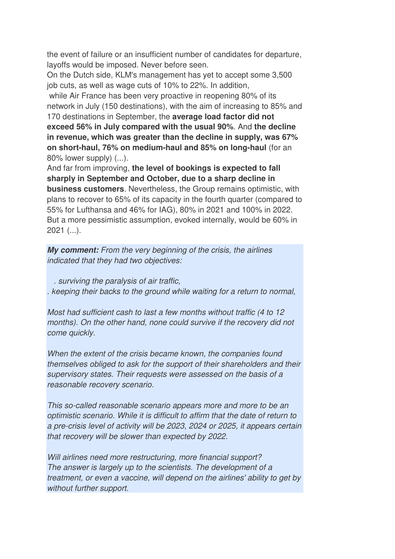the event of failure or an insufficient number of candidates for departure, layoffs would be imposed. Never before seen.

On the Dutch side, KLM's management has yet to accept some 3,500 job cuts, as well as wage cuts of 10% to 22%. In addition,

 while Air France has been very proactive in reopening 80% of its network in July (150 destinations), with the aim of increasing to 85% and 170 destinations in September, the **average load factor did not exceed 56% in July compared with the usual 90%**. And **the decline in revenue, which was greater than the decline in supply, was 67% on short-haul, 76% on medium-haul and 85% on long-haul** (for an 80% lower supply) (...).

And far from improving, **the level of bookings is expected to fall sharply in September and October, due to a sharp decline in business customers**. Nevertheless, the Group remains optimistic, with plans to recover to 65% of its capacity in the fourth quarter (compared to 55% for Lufthansa and 46% for IAG), 80% in 2021 and 100% in 2022. But a more pessimistic assumption, evoked internally, would be 60% in  $2021$  (...).

**My comment:** *From the very beginning of the crisis, the airlines indicated that they had two objectives:* 

 *. surviving the paralysis of air traffic,* 

*. keeping their backs to the ground while waiting for a return to normal,* 

*Most had sufficient cash to last a few months without traffic (4 to 12 months). On the other hand, none could survive if the recovery did not come quickly.* 

*When the extent of the crisis became known, the companies found themselves obliged to ask for the support of their shareholders and their supervisory states. Their requests were assessed on the basis of a reasonable recovery scenario.* 

*This so-called reasonable scenario appears more and more to be an optimistic scenario. While it is difficult to affirm that the date of return to a pre-crisis level of activity will be 2023, 2024 or 2025, it appears certain that recovery will be slower than expected by 2022.* 

*Will airlines need more restructuring, more financial support? The answer is largely up to the scientists. The development of a treatment, or even a vaccine, will depend on the airlines' ability to get by without further support.*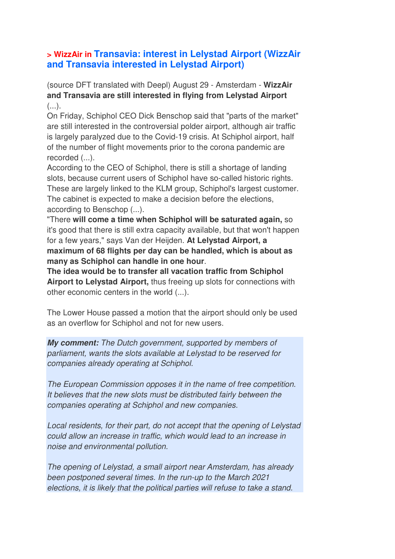#### **> WizzAir in Transavia: interest in Lelystad Airport (WizzAir and Transavia interested in Lelystad Airport)**

(source DFT translated with Deepl) August 29 - Amsterdam - **WizzAir and Transavia are still interested in flying from Lelystad Airport**  $($ ...).

On Friday, Schiphol CEO Dick Benschop said that "parts of the market" are still interested in the controversial polder airport, although air traffic is largely paralyzed due to the Covid-19 crisis. At Schiphol airport, half of the number of flight movements prior to the corona pandemic are recorded (...).

According to the CEO of Schiphol, there is still a shortage of landing slots, because current users of Schiphol have so-called historic rights. These are largely linked to the KLM group, Schiphol's largest customer. The cabinet is expected to make a decision before the elections, according to Benschop (...).

"There **will come a time when Schiphol will be saturated again,** so it's good that there is still extra capacity available, but that won't happen for a few years," says Van der Heijden. **At Lelystad Airport, a maximum of 68 flights per day can be handled, which is about as many as Schiphol can handle in one hour**.

**The idea would be to transfer all vacation traffic from Schiphol Airport to Lelystad Airport,** thus freeing up slots for connections with other economic centers in the world (...).

The Lower House passed a motion that the airport should only be used as an overflow for Schiphol and not for new users.

**My comment:** *The Dutch government, supported by members of parliament, wants the slots available at Lelystad to be reserved for companies already operating at Schiphol.* 

*The European Commission opposes it in the name of free competition. It believes that the new slots must be distributed fairly between the companies operating at Schiphol and new companies.* 

*Local residents, for their part, do not accept that the opening of Lelystad could allow an increase in traffic, which would lead to an increase in noise and environmental pollution.* 

*The opening of Lelystad, a small airport near Amsterdam, has already been postponed several times. In the run-up to the March 2021 elections, it is likely that the political parties will refuse to take a stand.*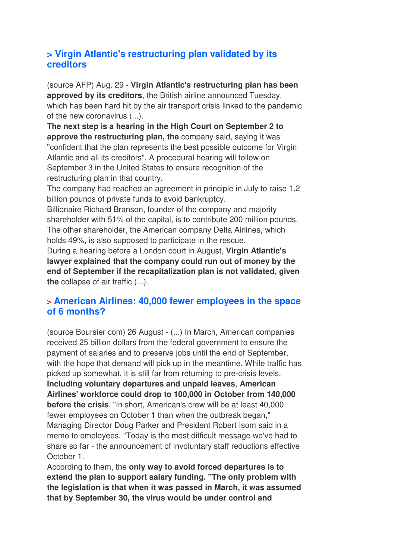## **> Virgin Atlantic's restructuring plan validated by its creditors**

(source AFP) Aug. 29 - **Virgin Atlantic's restructuring plan has been approved by its creditors**, the British airline announced Tuesday, which has been hard hit by the air transport crisis linked to the pandemic of the new coronavirus (...).

**The next step is a hearing in the High Court on September 2 to approve the restructuring plan, the** company said, saying it was "confident that the plan represents the best possible outcome for Virgin Atlantic and all its creditors". A procedural hearing will follow on September 3 in the United States to ensure recognition of the restructuring plan in that country.

The company had reached an agreement in principle in July to raise 1.2 billion pounds of private funds to avoid bankruptcy.

Billionaire Richard Branson, founder of the company and majority shareholder with 51% of the capital, is to contribute 200 million pounds. The other shareholder, the American company Delta Airlines, which holds 49%, is also supposed to participate in the rescue.

During a hearing before a London court in August, **Virgin Atlantic's lawyer explained that the company could run out of money by the end of September if the recapitalization plan is not validated, given the** collapse of air traffic (...).

## **> American Airlines: 40,000 fewer employees in the space of 6 months?**

(source Boursier com) 26 August - (...) In March, American companies received 25 billion dollars from the federal government to ensure the payment of salaries and to preserve jobs until the end of September, with the hope that demand will pick up in the meantime. While traffic has picked up somewhat, it is still far from returning to pre-crisis levels. **Including voluntary departures and unpaid leaves**, **American Airlines' workforce could drop to 100,000 in October from 140,000 before the crisis**. "In short, American's crew will be at least 40,000 fewer employees on October 1 than when the outbreak began," Managing Director Doug Parker and President Robert Isom said in a memo to employees. "Today is the most difficult message we've had to share so far - the announcement of involuntary staff reductions effective October 1.

According to them, the **only way to avoid forced departures is to extend the plan to support salary funding. "The only problem with the legislation is that when it was passed in March, it was assumed that by September 30, the virus would be under control and**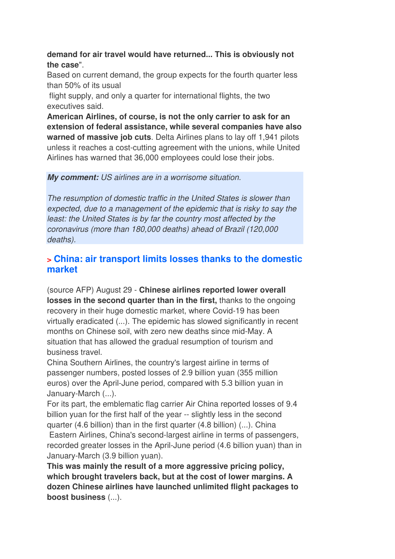#### **demand for air travel would have returned... This is obviously not the case**".

Based on current demand, the group expects for the fourth quarter less than 50% of its usual

 flight supply, and only a quarter for international flights, the two executives said.

**American Airlines, of course, is not the only carrier to ask for an extension of federal assistance, while several companies have also warned of massive job cuts**. Delta Airlines plans to lay off 1,941 pilots unless it reaches a cost-cutting agreement with the unions, while United Airlines has warned that 36,000 employees could lose their jobs.

#### **My comment:** *US airlines are in a worrisome situation.*

*The resumption of domestic traffic in the United States is slower than expected, due to a management of the epidemic that is risky to say the least: the United States is by far the country most affected by the coronavirus (more than 180,000 deaths) ahead of Brazil (120,000 deaths).*

#### **> China: air transport limits losses thanks to the domestic market**

(source AFP) August 29 - **Chinese airlines reported lower overall losses in the second quarter than in the first,** thanks to the ongoing recovery in their huge domestic market, where Covid-19 has been virtually eradicated (...). The epidemic has slowed significantly in recent months on Chinese soil, with zero new deaths since mid-May. A situation that has allowed the gradual resumption of tourism and business travel.

China Southern Airlines, the country's largest airline in terms of passenger numbers, posted losses of 2.9 billion yuan (355 million euros) over the April-June period, compared with 5.3 billion yuan in January-March (...).

For its part, the emblematic flag carrier Air China reported losses of 9.4 billion yuan for the first half of the year -- slightly less in the second quarter (4.6 billion) than in the first quarter (4.8 billion) (...). China

 Eastern Airlines, China's second-largest airline in terms of passengers, recorded greater losses in the April-June period (4.6 billion yuan) than in January-March (3.9 billion yuan).

**This was mainly the result of a more aggressive pricing policy, which brought travelers back, but at the cost of lower margins. A dozen Chinese airlines have launched unlimited flight packages to boost business** (...).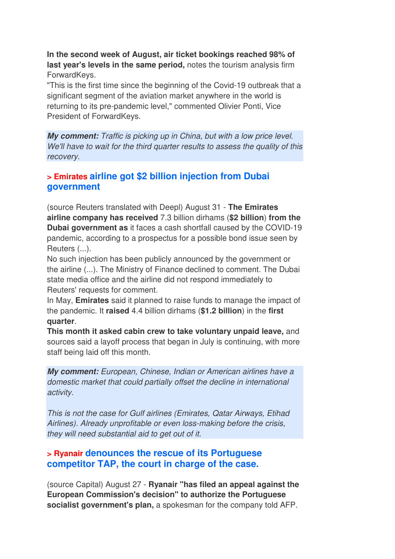**In the second week of August, air ticket bookings reached 98% of last year's levels in the same period,** notes the tourism analysis firm ForwardKeys.

"This is the first time since the beginning of the Covid-19 outbreak that a significant segment of the aviation market anywhere in the world is returning to its pre-pandemic level," commented Olivier Ponti, Vice President of ForwardKeys.

**My comment:** *Traffic is picking up in China, but with a low price level. We'll have to wait for the third quarter results to assess the quality of this recovery.*

#### **> Emirates airline got \$2 billion injection from Dubai government**

(source Reuters translated with Deepl) August 31 - **The Emirates airline company has received** 7.3 billion dirhams (**\$2 billion**) **from the Dubai government as** it faces a cash shortfall caused by the COVID-19 pandemic, according to a prospectus for a possible bond issue seen by Reuters (...).

No such injection has been publicly announced by the government or the airline (...). The Ministry of Finance declined to comment. The Dubai state media office and the airline did not respond immediately to Reuters' requests for comment.

In May, **Emirates** said it planned to raise funds to manage the impact of the pandemic. It **raised** 4.4 billion dirhams (**\$1.2 billion**) in the **first quarter**.

**This month it asked cabin crew to take voluntary unpaid leave,** and sources said a layoff process that began in July is continuing, with more staff being laid off this month.

**My comment:** *European, Chinese, Indian or American airlines have a domestic market that could partially offset the decline in international activity.* 

*This is not the case for Gulf airlines (Emirates, Qatar Airways, Etihad Airlines). Already unprofitable or even loss-making before the crisis, they will need substantial aid to get out of it.* 

#### **> Ryanair denounces the rescue of its Portuguese competitor TAP, the court in charge of the case.**

(source Capital) August 27 - **Ryanair "has filed an appeal against the European Commission's decision" to authorize the Portuguese socialist government's plan,** a spokesman for the company told AFP.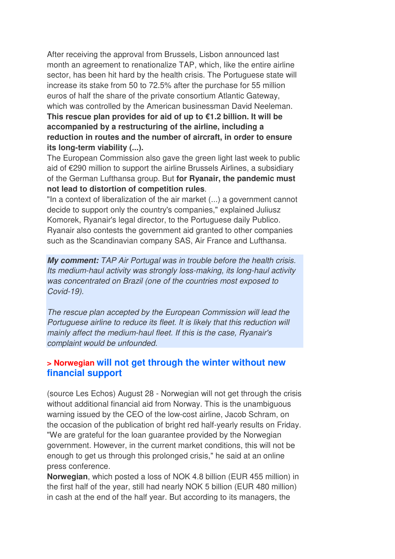After receiving the approval from Brussels, Lisbon announced last month an agreement to renationalize TAP, which, like the entire airline sector, has been hit hard by the health crisis. The Portuguese state will increase its stake from 50 to 72.5% after the purchase for 55 million euros of half the share of the private consortium Atlantic Gateway, which was controlled by the American businessman David Neeleman. **This rescue plan provides for aid of up to €1.2 billion. It will be accompanied by a restructuring of the airline, including a reduction in routes and the number of aircraft, in order to ensure its long-term viability (...).** 

The European Commission also gave the green light last week to public aid of €290 million to support the airline Brussels Airlines, a subsidiary of the German Lufthansa group. But **for Ryanair, the pandemic must not lead to distortion of competition rules**.

"In a context of liberalization of the air market (...) a government cannot decide to support only the country's companies," explained Juliusz Komorek, Ryanair's legal director, to the Portuguese daily Publico. Ryanair also contests the government aid granted to other companies such as the Scandinavian company SAS, Air France and Lufthansa.

**My comment:** *TAP Air Portugal was in trouble before the health crisis. Its medium-haul activity was strongly loss-making, its long-haul activity was concentrated on Brazil (one of the countries most exposed to Covid-19).* 

*The rescue plan accepted by the European Commission will lead the Portuguese airline to reduce its fleet. It is likely that this reduction will mainly affect the medium-haul fleet. If this is the case, Ryanair's complaint would be unfounded.*

#### **> Norwegian will not get through the winter without new financial support**

(source Les Echos) August 28 - Norwegian will not get through the crisis without additional financial aid from Norway. This is the unambiguous warning issued by the CEO of the low-cost airline, Jacob Schram, on the occasion of the publication of bright red half-yearly results on Friday. "We are grateful for the loan guarantee provided by the Norwegian government. However, in the current market conditions, this will not be enough to get us through this prolonged crisis," he said at an online press conference.

**Norwegian**, which posted a loss of NOK 4.8 billion (EUR 455 million) in the first half of the year, still had nearly NOK 5 billion (EUR 480 million) in cash at the end of the half year. But according to its managers, the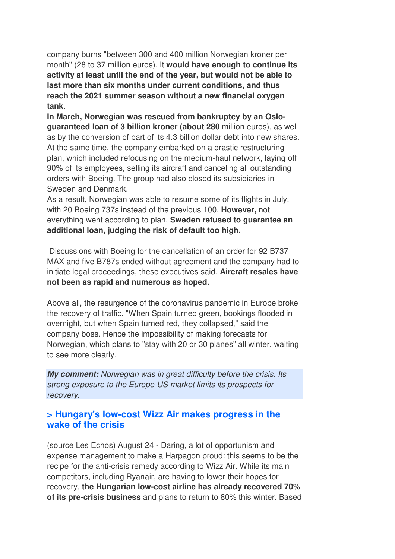company burns "between 300 and 400 million Norwegian kroner per month" (28 to 37 million euros). It **would have enough to continue its activity at least until the end of the year, but would not be able to last more than six months under current conditions, and thus reach the 2021 summer season without a new financial oxygen tank**.

**In March, Norwegian was rescued from bankruptcy by an Osloguaranteed loan of 3 billion kroner (about 280** million euros), as well as by the conversion of part of its 4.3 billion dollar debt into new shares. At the same time, the company embarked on a drastic restructuring plan, which included refocusing on the medium-haul network, laying off 90% of its employees, selling its aircraft and canceling all outstanding orders with Boeing. The group had also closed its subsidiaries in Sweden and Denmark.

As a result, Norwegian was able to resume some of its flights in July, with 20 Boeing 737s instead of the previous 100. **However,** not everything went according to plan. **Sweden refused to guarantee an additional loan, judging the risk of default too high.** 

 Discussions with Boeing for the cancellation of an order for 92 B737 MAX and five B787s ended without agreement and the company had to initiate legal proceedings, these executives said. **Aircraft resales have not been as rapid and numerous as hoped.** 

Above all, the resurgence of the coronavirus pandemic in Europe broke the recovery of traffic. "When Spain turned green, bookings flooded in overnight, but when Spain turned red, they collapsed," said the company boss. Hence the impossibility of making forecasts for Norwegian, which plans to "stay with 20 or 30 planes" all winter, waiting to see more clearly.

**My comment:** *Norwegian was in great difficulty before the crisis. Its strong exposure to the Europe-US market limits its prospects for recovery.*

#### **> Hungary's low-cost Wizz Air makes progress in the wake of the crisis**

(source Les Echos) August 24 - Daring, a lot of opportunism and expense management to make a Harpagon proud: this seems to be the recipe for the anti-crisis remedy according to Wizz Air. While its main competitors, including Ryanair, are having to lower their hopes for recovery, **the Hungarian low-cost airline has already recovered 70% of its pre-crisis business** and plans to return to 80% this winter. Based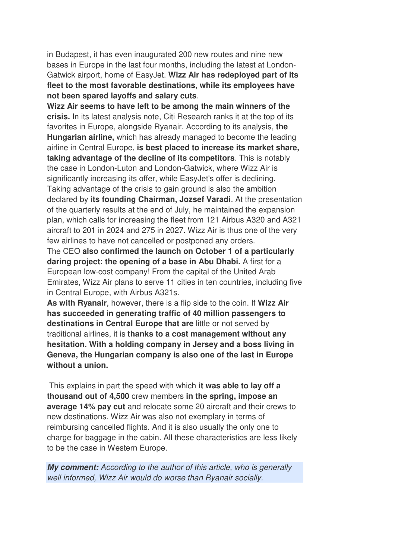in Budapest, it has even inaugurated 200 new routes and nine new bases in Europe in the last four months, including the latest at London-Gatwick airport, home of EasyJet. **Wizz Air has redeployed part of its fleet to the most favorable destinations, while its employees have not been spared layoffs and salary cuts**.

**Wizz Air seems to have left to be among the main winners of the crisis.** In its latest analysis note, Citi Research ranks it at the top of its favorites in Europe, alongside Ryanair. According to its analysis, **the Hungarian airline,** which has already managed to become the leading airline in Central Europe, **is best placed to increase its market share, taking advantage of the decline of its competitors**. This is notably the case in London-Luton and London-Gatwick, where Wizz Air is significantly increasing its offer, while EasyJet's offer is declining. Taking advantage of the crisis to gain ground is also the ambition declared by **its founding Chairman, Jozsef Varadi**. At the presentation of the quarterly results at the end of July, he maintained the expansion plan, which calls for increasing the fleet from 121 Airbus A320 and A321 aircraft to 201 in 2024 and 275 in 2027. Wizz Air is thus one of the very few airlines to have not cancelled or postponed any orders.

The CEO **also confirmed the launch on October 1 of a particularly daring project: the opening of a base in Abu Dhabi.** A first for a European low-cost company! From the capital of the United Arab Emirates, Wizz Air plans to serve 11 cities in ten countries, including five in Central Europe, with Airbus A321s.

**As with Ryanair**, however, there is a flip side to the coin. If **Wizz Air has succeeded in generating traffic of 40 million passengers to destinations in Central Europe that are** little or not served by traditional airlines, it is **thanks to a cost management without any hesitation. With a holding company in Jersey and a boss living in Geneva, the Hungarian company is also one of the last in Europe without a union.** 

 This explains in part the speed with which **it was able to lay off a thousand out of 4,500** crew members **in the spring, impose an average 14% pay cut** and relocate some 20 aircraft and their crews to new destinations. Wizz Air was also not exemplary in terms of reimbursing cancelled flights. And it is also usually the only one to charge for baggage in the cabin. All these characteristics are less likely to be the case in Western Europe.

**My comment:** *According to the author of this article, who is generally well informed, Wizz Air would do worse than Ryanair socially.*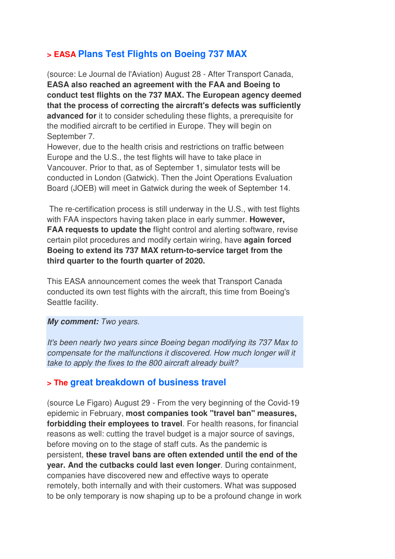## **> EASA Plans Test Flights on Boeing 737 MAX**

(source: Le Journal de l'Aviation) August 28 - After Transport Canada, **EASA also reached an agreement with the FAA and Boeing to conduct test flights on the 737 MAX. The European agency deemed that the process of correcting the aircraft's defects was sufficiently advanced for** it to consider scheduling these flights, a prerequisite for the modified aircraft to be certified in Europe. They will begin on September 7.

However, due to the health crisis and restrictions on traffic between Europe and the U.S., the test flights will have to take place in Vancouver. Prior to that, as of September 1, simulator tests will be conducted in London (Gatwick). Then the Joint Operations Evaluation Board (JOEB) will meet in Gatwick during the week of September 14.

 The re-certification process is still underway in the U.S., with test flights with FAA inspectors having taken place in early summer. **However, FAA requests to update the** flight control and alerting software, revise certain pilot procedures and modify certain wiring, have **again forced Boeing to extend its 737 MAX return-to-service target from the third quarter to the fourth quarter of 2020.**

This EASA announcement comes the week that Transport Canada conducted its own test flights with the aircraft, this time from Boeing's Seattle facility.

#### **My comment:** *Two years.*

*It's been nearly two years since Boeing began modifying its 737 Max to compensate for the malfunctions it discovered. How much longer will it take to apply the fixes to the 800 aircraft already built?*

#### **> The great breakdown of business travel**

(source Le Figaro) August 29 - From the very beginning of the Covid-19 epidemic in February, **most companies took "travel ban" measures, forbidding their employees to travel**. For health reasons, for financial reasons as well: cutting the travel budget is a major source of savings, before moving on to the stage of staff cuts. As the pandemic is persistent, **these travel bans are often extended until the end of the year. And the cutbacks could last even longer**. During containment, companies have discovered new and effective ways to operate remotely, both internally and with their customers. What was supposed to be only temporary is now shaping up to be a profound change in work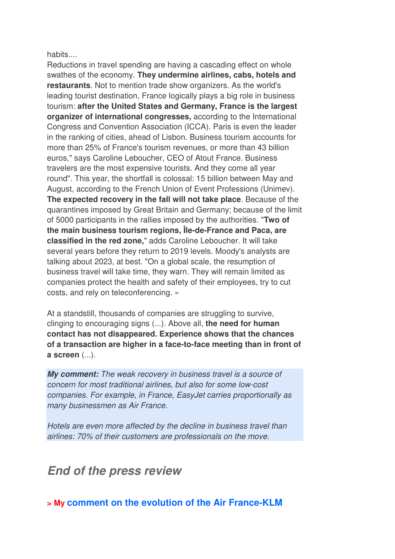habits....

Reductions in travel spending are having a cascading effect on whole swathes of the economy. **They undermine airlines, cabs, hotels and restaurants**. Not to mention trade show organizers. As the world's leading tourist destination, France logically plays a big role in business tourism: **after the United States and Germany, France is the largest organizer of international congresses,** according to the International Congress and Convention Association (ICCA). Paris is even the leader in the ranking of cities, ahead of Lisbon. Business tourism accounts for more than 25% of France's tourism revenues, or more than 43 billion euros," says Caroline Leboucher, CEO of Atout France. Business travelers are the most expensive tourists. And they come all year round". This year, the shortfall is colossal: 15 billion between May and August, according to the French Union of Event Professions (Unimev). **The expected recovery in the fall will not take place**. Because of the quarantines imposed by Great Britain and Germany; because of the limit of 5000 participants in the rallies imposed by the authorities. "**Two of the main business tourism regions, Île-de-France and Paca, are classified in the red zone,**" adds Caroline Leboucher. It will take several years before they return to 2019 levels. Moody's analysts are talking about 2023, at best. "On a global scale, the resumption of business travel will take time, they warn. They will remain limited as companies protect the health and safety of their employees, try to cut costs, and rely on teleconferencing. »

At a standstill, thousands of companies are struggling to survive, clinging to encouraging signs (...). Above all, **the need for human contact has not disappeared. Experience shows that the chances of a transaction are higher in a face-to-face meeting than in front of a screen** (...).

**My comment:** *The weak recovery in business travel is a source of concern for most traditional airlines, but also for some low-cost companies. For example, in France, EasyJet carries proportionally as many businessmen as Air France.* 

*Hotels are even more affected by the decline in business travel than airlines: 70% of their customers are professionals on the move.*

# **End of the press review**

**> My comment on the evolution of the Air France-KLM**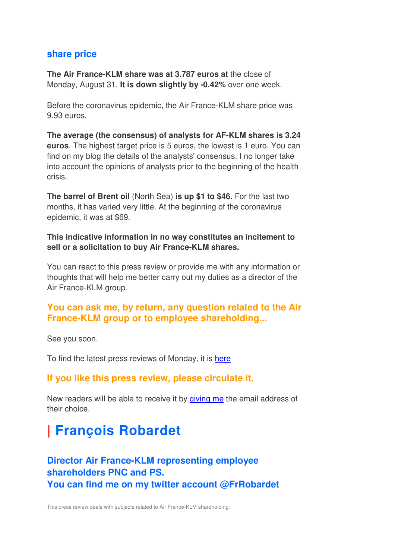#### **share price**

**The Air France-KLM share was at 3.787 euros at** the close of Monday, August 31. **It is down slightly by -0.42%** over one week.

Before the coronavirus epidemic, the Air France-KLM share price was 9.93 euros.

**The average (the consensus) of analysts for AF-KLM shares is 3.24 euros**. The highest target price is 5 euros, the lowest is 1 euro. You can find on my blog the details of the analysts' consensus. I no longer take into account the opinions of analysts prior to the beginning of the health crisis.

**The barrel of Brent oil** (North Sea) **is up \$1 to \$46.** For the last two months, it has varied very little. At the beginning of the coronavirus epidemic, it was at \$69.

**This indicative information in no way constitutes an incitement to sell or a solicitation to buy Air France-KLM shares.**

You can react to this press review or provide me with any information or thoughts that will help me better carry out my duties as a director of the Air France-KLM group.

#### **You can ask me, by return, any question related to the Air France-KLM group or to employee shareholding...**

See you soon.

To find the latest press reviews of Monday, it is here

#### **If you like this press review, please circulate it.**

New readers will be able to receive it by giving me the email address of their choice.

# **| François Robardet**

# **Director Air France-KLM representing employee shareholders PNC and PS. You can find me on my twitter account @FrRobardet**